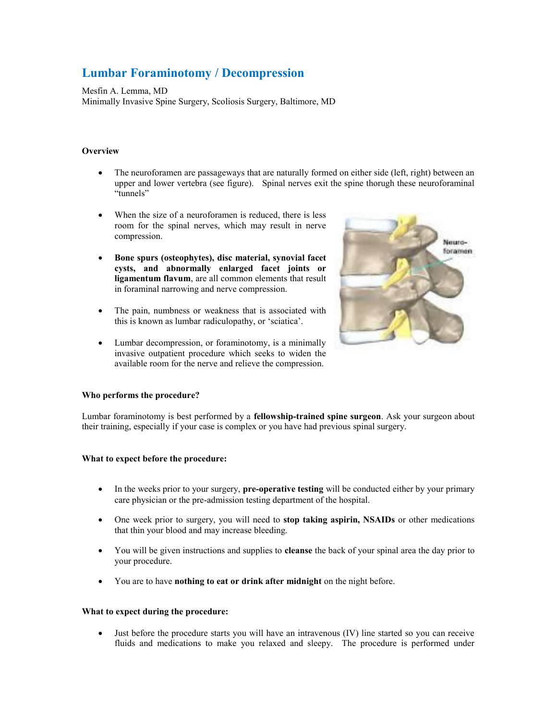# **Lumbar Foraminotomy / Decompression**

Mesfin A. Lemma, MD Minimally Invasive Spine Surgery, Scoliosis Surgery, Baltimore, MD

# **Overview**

- The neuroforamen are passageways that are naturally formed on either side (left, right) between an upper and lower vertebra (see figure). Spinal nerves exit the spine thorugh these neuroforaminal "tunnels"
- When the size of a neuroforamen is reduced, there is less room for the spinal nerves, which may result in nerve compression.
- **Bone spurs (osteophytes), disc material, synovial facet cysts, and abnormally enlarged facet joints or ligamentum flavum**, are all common elements that result in foraminal narrowing and nerve compression.
- The pain, numbness or weakness that is associated with this is known as lumbar radiculopathy, or 'sciatica'.
- Lumbar decompression, or foraminotomy, is a minimally invasive outpatient procedure which seeks to widen the available room for the nerve and relieve the compression.



# **Who performs the procedure?**

Lumbar foraminotomy is best performed by a **fellowship-trained spine surgeon**. Ask your surgeon about their training, especially if your case is complex or you have had previous spinal surgery.

# **What to expect before the procedure:**

- In the weeks prior to your surgery, **pre-operative testing** will be conducted either by your primary care physician or the pre-admission testing department of the hospital.
- One week prior to surgery, you will need to **stop taking aspirin, NSAIDs** or other medications that thin your blood and may increase bleeding.
- You will be given instructions and supplies to **cleanse** the back of your spinal area the day prior to your procedure.
- You are to have **nothing to eat or drink after midnight** on the night before.

#### **What to expect during the procedure:**

 Just before the procedure starts you will have an intravenous (IV) line started so you can receive fluids and medications to make you relaxed and sleepy. The procedure is performed under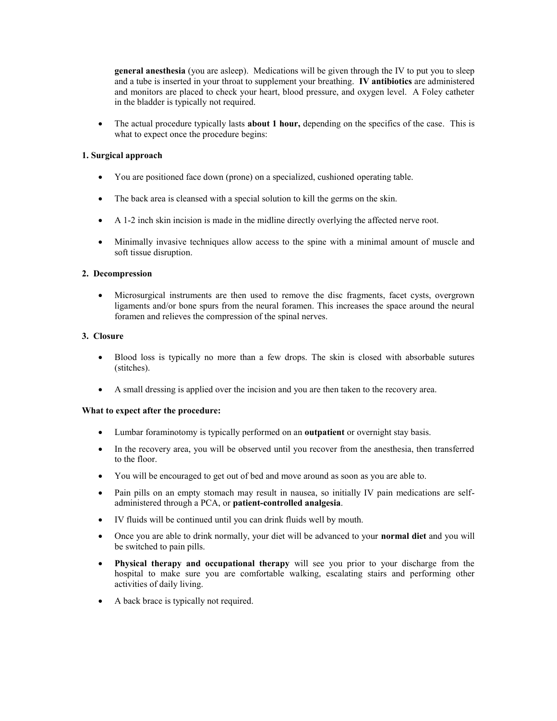**general anesthesia** (you are asleep). Medications will be given through the IV to put you to sleep and a tube is inserted in your throat to supplement your breathing. **IV antibiotics** are administered and monitors are placed to check your heart, blood pressure, and oxygen level. A Foley catheter in the bladder is typically not required.

 The actual procedure typically lasts **about 1 hour,** depending on the specifics of the case. This is what to expect once the procedure begins:

# **1. Surgical approach**

- You are positioned face down (prone) on a specialized, cushioned operating table.
- The back area is cleansed with a special solution to kill the germs on the skin.
- A 1-2 inch skin incision is made in the midline directly overlying the affected nerve root.
- Minimally invasive techniques allow access to the spine with a minimal amount of muscle and soft tissue disruption.

#### **2. Decompression**

 Microsurgical instruments are then used to remove the disc fragments, facet cysts, overgrown ligaments and/or bone spurs from the neural foramen. This increases the space around the neural foramen and relieves the compression of the spinal nerves.

# **3. Closure**

- Blood loss is typically no more than a few drops. The skin is closed with absorbable sutures (stitches).
- A small dressing is applied over the incision and you are then taken to the recovery area.

# **What to expect after the procedure:**

- Lumbar foraminotomy is typically performed on an **outpatient** or overnight stay basis.
- In the recovery area, you will be observed until you recover from the anesthesia, then transferred to the floor.
- You will be encouraged to get out of bed and move around as soon as you are able to.
- Pain pills on an empty stomach may result in nausea, so initially IV pain medications are selfadministered through a PCA, or **patient-controlled analgesia**.
- IV fluids will be continued until you can drink fluids well by mouth.
- Once you are able to drink normally, your diet will be advanced to your **normal diet** and you will be switched to pain pills.
- **Physical therapy and occupational therapy** will see you prior to your discharge from the hospital to make sure you are comfortable walking, escalating stairs and performing other activities of daily living.
- A back brace is typically not required.